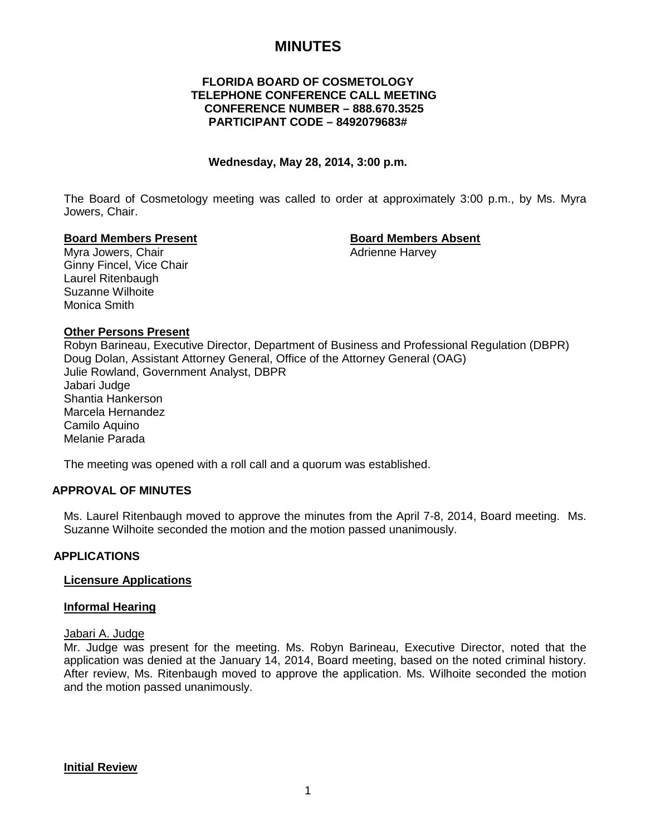# **MINUTES**

# **FLORIDA BOARD OF COSMETOLOGY TELEPHONE CONFERENCE CALL MEETING CONFERENCE NUMBER – 888.670.3525 PARTICIPANT CODE – 8492079683#**

#### **Wednesday, May 28, 2014, 3:00 p.m.**

The Board of Cosmetology meeting was called to order at approximately 3:00 p.m., by Ms. Myra Jowers, Chair.

#### **Board Members Present Board Members Absent**

Myra Jowers, Chair **Adrience Harvey** Adrienne Harvey Ginny Fincel, Vice Chair Laurel Ritenbaugh Suzanne Wilhoite Monica Smith

# **Other Persons Present**

Robyn Barineau, Executive Director, Department of Business and Professional Regulation (DBPR) Doug Dolan, Assistant Attorney General, Office of the Attorney General (OAG) Julie Rowland, Government Analyst, DBPR Jabari Judge Shantia Hankerson Marcela Hernandez Camilo Aquino Melanie Parada

The meeting was opened with a roll call and a quorum was established.

#### **APPROVAL OF MINUTES**

Ms. Laurel Ritenbaugh moved to approve the minutes from the April 7-8, 2014, Board meeting. Ms. Suzanne Wilhoite seconded the motion and the motion passed unanimously.

#### **APPLICATIONS**

#### **Licensure Applications**

#### **Informal Hearing**

#### Jabari A. Judge

Mr. Judge was present for the meeting. Ms. Robyn Barineau, Executive Director, noted that the application was denied at the January 14, 2014, Board meeting, based on the noted criminal history. After review, Ms. Ritenbaugh moved to approve the application. Ms. Wilhoite seconded the motion and the motion passed unanimously.

**Initial Review**